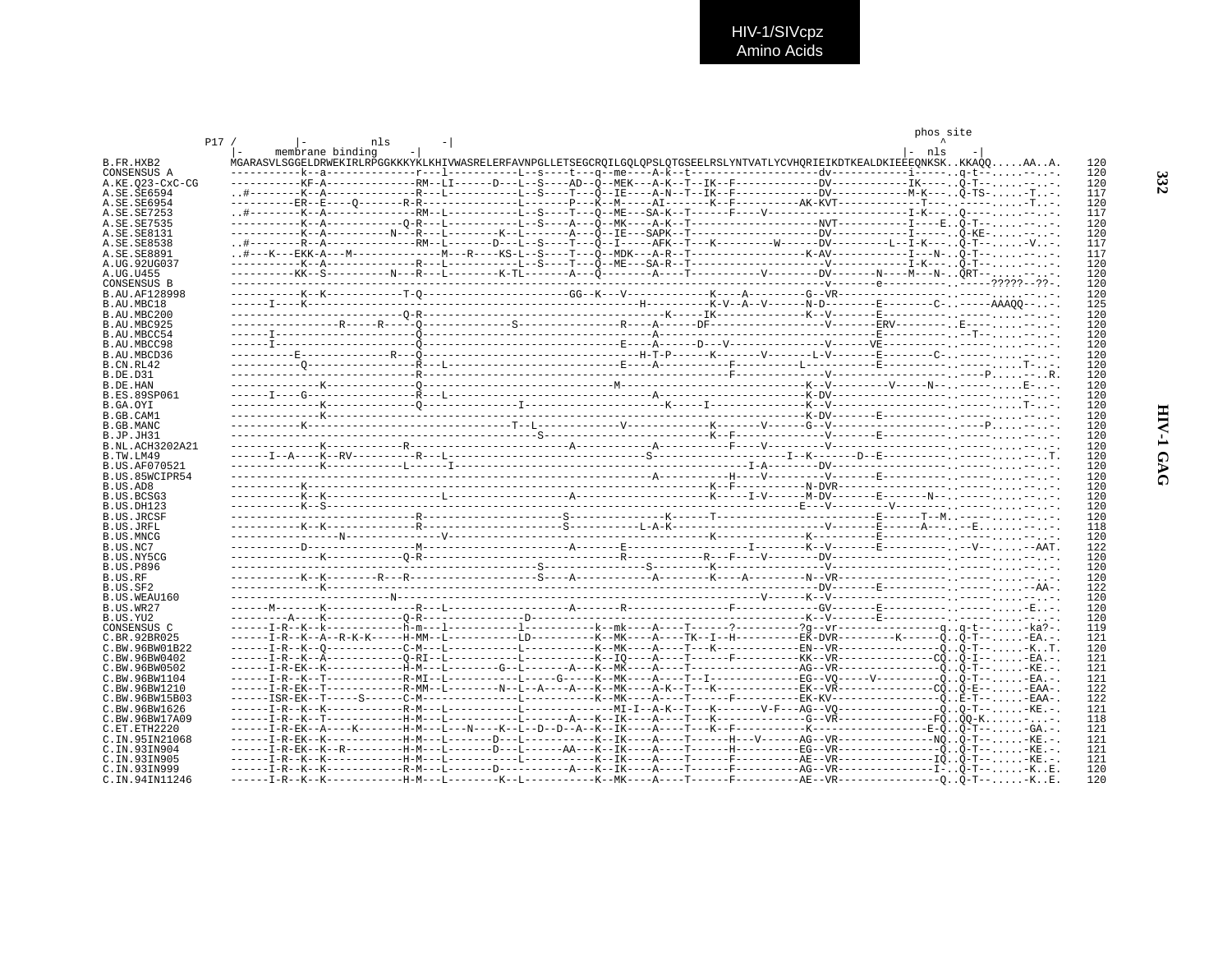|                                 |     |  |                  |  |  |                                                                                                                             | phos site |  |            |
|---------------------------------|-----|--|------------------|--|--|-----------------------------------------------------------------------------------------------------------------------------|-----------|--|------------|
|                                 | P17 |  | nls              |  |  |                                                                                                                             |           |  |            |
|                                 |     |  | membrane binding |  |  |                                                                                                                             | - nls     |  |            |
| B.FR.HXB2                       |     |  |                  |  |  | MGARASVLSGGELDRWEKIRLRPGGKKKYKLKHIVWASRELERFAVNPGLLETSEGCROILGOLOPSLOTGSEELRSLYNTVATLYCVHORIEIKDTKEALDKIEEEONKSKKKAÓOAAA.   |           |  | 120        |
| CONSENSUS A                     |     |  |                  |  |  |                                                                                                                             |           |  | 120        |
| A.KE.023-CxC-CG                 |     |  |                  |  |  |                                                                                                                             |           |  | 120<br>117 |
| A.SE.SE6594<br>A.SE.SE6954      |     |  |                  |  |  |                                                                                                                             |           |  | 120        |
| A.SE.SE7253                     |     |  |                  |  |  |                                                                                                                             |           |  | 117        |
| A.SE.SE7535                     |     |  |                  |  |  |                                                                                                                             |           |  | 120        |
| A.SE.SE8131                     |     |  |                  |  |  | -----------K--A---------N--R---L--------K--L-------A---Õ--IE---SAPK--T----------------DV------------I-----Õ-KE- - - -       |           |  | 120        |
| A.SE.SE8538                     |     |  |                  |  |  | .#--------R--A--------------RM--L-------D--L--S----T---O--I-----AFK--T---K--------------DV----------L--I-K---. . O-T-- -V . |           |  | 117        |
| A.SE.SE8891                     |     |  |                  |  |  |                                                                                                                             |           |  | 117        |
| A.UG.92UG037                    |     |  |                  |  |  |                                                                                                                             |           |  | 120        |
| A.UG.U455                       |     |  |                  |  |  |                                                                                                                             |           |  | 120        |
| CONSENSUS B                     |     |  |                  |  |  |                                                                                                                             |           |  | 120        |
| B.AU.AF128998                   |     |  |                  |  |  |                                                                                                                             |           |  | 120        |
| B.AU.MBC18                      |     |  |                  |  |  |                                                                                                                             |           |  | 125        |
| B.AU.MBC200                     |     |  |                  |  |  |                                                                                                                             |           |  | 120        |
| B.AU.MBC925                     |     |  |                  |  |  |                                                                                                                             |           |  | 120        |
| B. AU. MBCC54                   |     |  |                  |  |  |                                                                                                                             |           |  | 120        |
| B.AU.MBCC98                     |     |  |                  |  |  |                                                                                                                             |           |  | 120        |
| B.AU.MBCD36<br><b>B.CN.RL42</b> |     |  |                  |  |  |                                                                                                                             |           |  | 120<br>120 |
| B.DE.D31                        |     |  |                  |  |  |                                                                                                                             |           |  | 120        |
| B.DE.HAN                        |     |  |                  |  |  |                                                                                                                             |           |  | 120        |
| <b>B.ES.89SP061</b>             |     |  |                  |  |  |                                                                                                                             |           |  | 120        |
| B.GA.OYI                        |     |  |                  |  |  |                                                                                                                             |           |  | 120        |
| B.GB.CAM1                       |     |  |                  |  |  |                                                                                                                             |           |  | 120        |
| B.GB.MANC                       |     |  |                  |  |  |                                                                                                                             |           |  | 120        |
| B.JP.JH31                       |     |  |                  |  |  |                                                                                                                             |           |  | 120        |
| B.NL.ACH3202A21                 |     |  |                  |  |  |                                                                                                                             |           |  | 120        |
| B.TW.LM49                       |     |  |                  |  |  |                                                                                                                             |           |  | 120        |
| <b>B.US.AF070521</b>            |     |  |                  |  |  |                                                                                                                             |           |  | 120        |
| B.US.85WCIPR54                  |     |  |                  |  |  |                                                                                                                             |           |  | 120        |
| B.US.AD8                        |     |  |                  |  |  |                                                                                                                             |           |  | 120        |
| B.US.BCSG3                      |     |  |                  |  |  |                                                                                                                             |           |  | 120        |
| B.US.DH123                      |     |  |                  |  |  |                                                                                                                             |           |  | 120<br>120 |
| B.US.JRCSF<br><b>B.US.JRFL</b>  |     |  |                  |  |  |                                                                                                                             |           |  | 118        |
| B.US.MNCG                       |     |  |                  |  |  |                                                                                                                             |           |  | 120        |
| B.US.NC7                        |     |  |                  |  |  |                                                                                                                             |           |  | 122        |
| B.US.NY5CG                      |     |  |                  |  |  |                                                                                                                             |           |  | 120        |
| <b>B.US.P896</b>                |     |  |                  |  |  |                                                                                                                             |           |  | 120        |
| B.US.RF                         |     |  |                  |  |  |                                                                                                                             |           |  | 120        |
| B.US.SF2                        |     |  |                  |  |  |                                                                                                                             |           |  | 122        |
| B.US.WEAU160                    |     |  |                  |  |  |                                                                                                                             |           |  | 120        |
| B.US.WR27                       |     |  |                  |  |  |                                                                                                                             |           |  | 120        |
| B.US.YU2                        |     |  |                  |  |  |                                                                                                                             |           |  | 120        |
| CONSENSUS C                     |     |  |                  |  |  |                                                                                                                             |           |  | 119        |
| C.BR.92BR025                    |     |  |                  |  |  | ------I-R--K--A--R-K------H-MM--L----------LD---------K--MK----A----TK--I--H----------EK-DVR---------K------OO-T---EA.-.    |           |  | 121        |
| C.BW.96BW01B22                  |     |  |                  |  |  |                                                                                                                             |           |  | 120        |
| C.BW.96BW0402<br>C.BW.96BW0502  |     |  |                  |  |  |                                                                                                                             |           |  | 121<br>121 |
| C.BW.96BW1104                   |     |  |                  |  |  | ------I-R--K--T-----------R-MI--L-----------L-------K--MK----A----T--I--------------EG--V0-----V-------------ÕÕ-T---EA.-.   |           |  | 121        |
| C.BW.96BW1210                   |     |  |                  |  |  |                                                                                                                             |           |  | 122        |
| C.BW.96BW15B03                  |     |  |                  |  |  |                                                                                                                             |           |  | 122        |
| C.BW.96BW1626                   |     |  |                  |  |  |                                                                                                                             |           |  | 121        |
| C.BW.96BW17A09                  |     |  |                  |  |  |                                                                                                                             |           |  | 118        |
| C.ET.ETH2220                    |     |  |                  |  |  |                                                                                                                             |           |  | 121        |
| C.IN.95IN21068                  |     |  |                  |  |  |                                                                                                                             |           |  | 121        |
| C.IN.93IN904                    |     |  |                  |  |  | ------I-R-EK--K--R---------H-M---L-------D---L------AA---K--IK----A----T------H--------BG--VR-----------------ÕÕ-T---KE.-.  |           |  | 121        |
| C.IN.93IN905                    |     |  |                  |  |  |                                                                                                                             |           |  | 121        |
| C.IN.93IN999                    |     |  |                  |  |  | ------I-R--K--K-----------R-M---L-------D----------A---K--IK----A---T------F--------AG--VR---------------I- Ö-T-- -K. . E.  |           |  | 120        |
| C.IN.94IN11246                  |     |  |                  |  |  |                                                                                                                             |           |  | 120        |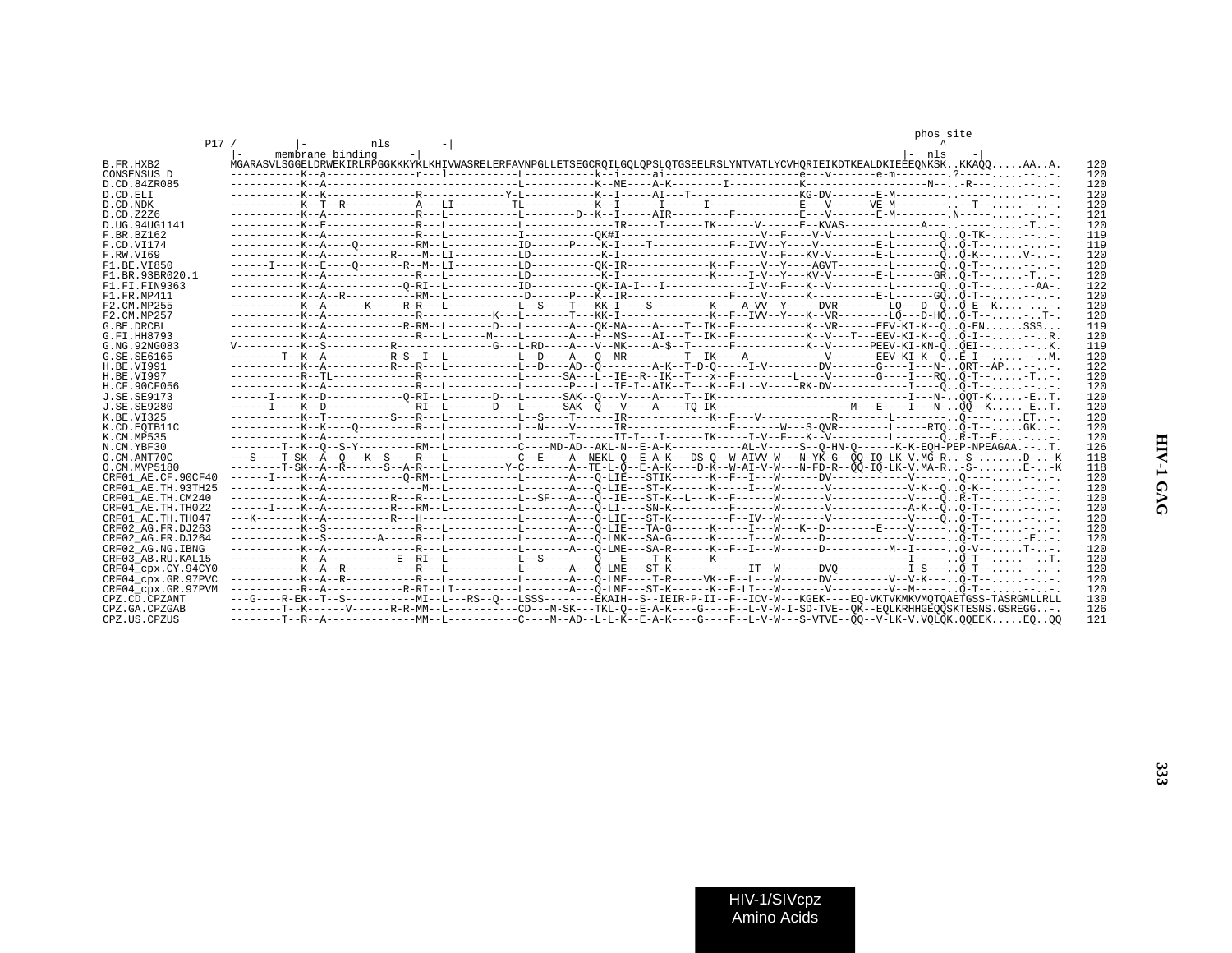|                                         |     |  |                                                                                                                                         |  |  |  |  |  | phos site |  |            |
|-----------------------------------------|-----|--|-----------------------------------------------------------------------------------------------------------------------------------------|--|--|--|--|--|-----------|--|------------|
|                                         | P17 |  | nls<br>membrane binding                                                                                                                 |  |  |  |  |  | $ -$ nls  |  |            |
| B.FR.HXB2                               |     |  | MGARASVLSGGELDRWEKIRLRPGGKKKYKLKHIVWASRELERFAVNPGLLETSEGCROILGOLOPSLOTGSEELRSLYNTVATLYCVHORIEIKDTKEALDKIEEEONKSKKKAOOAAA.               |  |  |  |  |  |           |  | 120        |
| CONSENSUS D                             |     |  |                                                                                                                                         |  |  |  |  |  |           |  | 120        |
| D.CD.84ZR085                            |     |  |                                                                                                                                         |  |  |  |  |  |           |  | 120        |
| D.CD.ELI                                |     |  |                                                                                                                                         |  |  |  |  |  |           |  | 120        |
| D.CD.NDK                                |     |  |                                                                                                                                         |  |  |  |  |  |           |  | 120        |
| D.CD.Z2Z6                               |     |  |                                                                                                                                         |  |  |  |  |  |           |  | 121        |
| D.UG. 94UG1141                          |     |  |                                                                                                                                         |  |  |  |  |  |           |  | 120        |
| F.BR.BZ162                              |     |  |                                                                                                                                         |  |  |  |  |  |           |  | 119        |
| F.CD.VI174                              |     |  | -----------K--A----O---------RM--L-----------ID------P---K-I----T------------F--IVV--Y----V-------------B-L------------OO-T---.         |  |  |  |  |  |           |  | 119        |
| F.RW.VI69                               |     |  |                                                                                                                                         |  |  |  |  |  |           |  | 120        |
| F1.BE.VI850                             |     |  | ------I----K--E----O-------R--M--LI-----------DD----------OK-IR-------------K--F----V--Y-----AGVT----------------------Ô. .Õ-T-- -- - . |  |  |  |  |  |           |  | 120        |
| F1 BR 93BR020 1                         |     |  |                                                                                                                                         |  |  |  |  |  |           |  | 120        |
| F1.FI.FIN9363                           |     |  |                                                                                                                                         |  |  |  |  |  |           |  | 122        |
| F1 FR MP411                             |     |  |                                                                                                                                         |  |  |  |  |  |           |  | 120        |
| F2.CM.MP255                             |     |  |                                                                                                                                         |  |  |  |  |  |           |  | 120        |
| F2.CM.MP257                             |     |  |                                                                                                                                         |  |  |  |  |  |           |  | 120        |
| G.BE.DRCBL                              |     |  | ----------K--A-----------R-RM--L-------D---L-------A---OK-MA----A----T--IK--F--------K--VR------EEV-KI-K--ÕÕ-ENSSS                      |  |  |  |  |  |           |  | 119        |
| G.FI.HH8793                             |     |  |                                                                                                                                         |  |  |  |  |  |           |  | 120        |
| G. NG. 92NG083                          |     |  | V---------K--S----------R------------G---L-RD----A---V--MK----A-\$--T------F-----------K--V------PEEV-KI-KN-00EI----K.                  |  |  |  |  |  |           |  | 119        |
| G. SE. SE6165                           |     |  | --------T--K--A----------R-S--I--L----------L--D----A---O--MR---------T--IK----A-----------------EEV-KI-K--OE-I----M.                   |  |  |  |  |  |           |  | 120        |
| H.BE.VI991                              |     |  |                                                                                                                                         |  |  |  |  |  |           |  | 122        |
| H.BE.VI997                              |     |  |                                                                                                                                         |  |  |  |  |  |           |  | 120        |
| H.CF.90CF056                            |     |  | ----------K--A--------------R---L---------L-------P---L--IE-I--AIK--T---K--F-L--V-----RK-DV------------I----00-T-----.                  |  |  |  |  |  |           |  | 120        |
| J.SE.SE9173                             |     |  |                                                                                                                                         |  |  |  |  |  |           |  | 120        |
| J.SE.SE9280                             |     |  |                                                                                                                                         |  |  |  |  |  |           |  | 120        |
| K. BE. VT325                            |     |  |                                                                                                                                         |  |  |  |  |  |           |  | 120        |
| K.CD.EOTB11C                            |     |  |                                                                                                                                         |  |  |  |  |  |           |  | 120        |
| K.CM.MP535                              |     |  |                                                                                                                                         |  |  |  |  |  |           |  | 120        |
| N.CM.YBF30                              |     |  | --------T--K--O--S-Y----------RM--L----------C----MD-AD--AKL-N--E-A-K-----------AL-V-----S--O-HN-O-------K-K-EOH-PEP-NPEAGAA.--T.       |  |  |  |  |  |           |  | 126        |
| O.CM.ANT70C                             |     |  | ---S----T-SK--A--O---K--S----R---L---------C--E----A--NEKL-O--E-A-K---DS-O--W-AIVV-W---N-YK-G--OO-IO-LK-V.MG-R-S-D--K                   |  |  |  |  |  |           |  | 118        |
| O.CM.MVP5180                            |     |  | --------T-SK--A--R------S--A-R---L--------Y-C------A--TE-L-O--E-A-K----D-K--W-AI-V-W---N-FD-R--OO-IO-LK-V.MA-R-S-E--K                   |  |  |  |  |  |           |  | 118        |
| CRF01 AE.CF.90CF40                      |     |  | ------I----K--A---------------O-RM--L---------L---------A---O-LIE---STIK------K--F--I---W------DV-----------V------O-------.            |  |  |  |  |  |           |  | 120        |
| CRF01 AE.TH.93TH25                      |     |  |                                                                                                                                         |  |  |  |  |  |           |  | 120        |
| CRF01 AE.TH.CM240                       |     |  |                                                                                                                                         |  |  |  |  |  |           |  | 120        |
| CRF01 AE.TH.TH022                       |     |  |                                                                                                                                         |  |  |  |  |  |           |  | 120        |
| CRF01 AE.TH.TH047                       |     |  |                                                                                                                                         |  |  |  |  |  |           |  | 120        |
| CRF02 AG.FR.DJ263                       |     |  |                                                                                                                                         |  |  |  |  |  |           |  | 120        |
| CRF02 AG.FR.DJ264                       |     |  |                                                                                                                                         |  |  |  |  |  |           |  | 120        |
| CRF02 AG.NG.IBNG                        |     |  |                                                                                                                                         |  |  |  |  |  |           |  | 120        |
|                                         |     |  |                                                                                                                                         |  |  |  |  |  |           |  | 120        |
| CRF03 AB.RU.KAL15<br>CRF04 cpx.CY.94CY0 |     |  |                                                                                                                                         |  |  |  |  |  |           |  | 120        |
|                                         |     |  |                                                                                                                                         |  |  |  |  |  |           |  | 120        |
| CRF04 cpx.GR.97PVC                      |     |  |                                                                                                                                         |  |  |  |  |  |           |  |            |
| CRF04 cpx.GR.97PVM                      |     |  | ---G----R-EK--T--S------------MI--L---RS--O---LSSS--------EKAIH--S--IEIR-P-II--F--ICV-W---KGEK----EO-VKTVKMKVMOTOAETGSS-TASRGMLLRLL     |  |  |  |  |  |           |  | 120<br>130 |
| CPZ.CD.CPZANT                           |     |  | --------T--K------V------R-R-MM--L----------CD---M-SK---TKL-O--E-A-K----G----F--L-V-W-I-SD-TVE--QK--EQLKRHHGEQQSKTESNS.GSREGG-.         |  |  |  |  |  |           |  | 126        |
| CPZ.GA.CPZGAB                           |     |  |                                                                                                                                         |  |  |  |  |  |           |  |            |
| CPZ.US.CPZUS                            |     |  |                                                                                                                                         |  |  |  |  |  |           |  | 121        |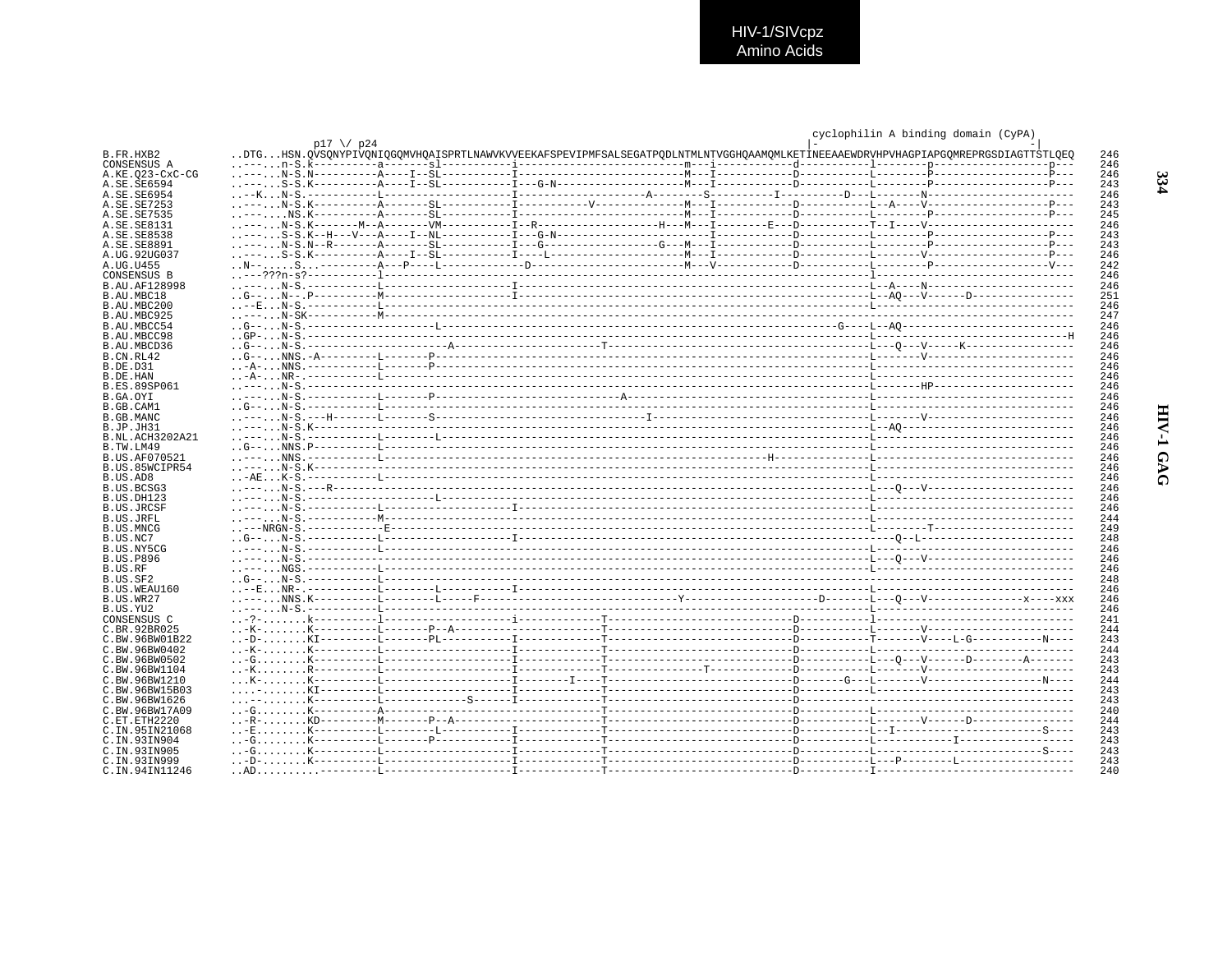|                                |                    |                                                                                                                                 |  |  | cyclophilin A binding domain (CyPA) |            |
|--------------------------------|--------------------|---------------------------------------------------------------------------------------------------------------------------------|--|--|-------------------------------------|------------|
|                                | $p17 \ \sqrt{p24}$ |                                                                                                                                 |  |  |                                     |            |
| B.FR.HXB2                      |                    | DTGHSN.OVSONYPIVONIOGOMVHOAISPRTLNAWVKVVEEKAFSPEVIPMFSALSEGATPODLNTMLNTVGGHOAAMOMLKETINEEAAEWDRVHPVHAGPIAPGOMREPRGSDIAGTTSTLOEO |  |  |                                     | 246        |
| CONSENSUS A                    |                    |                                                                                                                                 |  |  |                                     | 246        |
| A.KE.023-CxC-CG                |                    |                                                                                                                                 |  |  |                                     | 246        |
| A.SE.SE6594                    |                    |                                                                                                                                 |  |  |                                     | 243        |
| A. SE. SE6954                  |                    |                                                                                                                                 |  |  |                                     | 246        |
| A.SE.SE7253<br>A.SE.SE7535     |                    |                                                                                                                                 |  |  |                                     | 243<br>245 |
| A.SE.SE8131                    |                    |                                                                                                                                 |  |  |                                     | 246        |
| A.SE.SE8538                    |                    |                                                                                                                                 |  |  |                                     | 243        |
| A.SE.SE8891                    |                    |                                                                                                                                 |  |  |                                     | 243        |
| A.UG.92UG037                   |                    |                                                                                                                                 |  |  |                                     | 246        |
| A.UG.U455                      |                    |                                                                                                                                 |  |  |                                     | 242        |
| CONSENSUS B                    |                    |                                                                                                                                 |  |  |                                     | 246        |
| <b>B.AU.AF128998</b>           |                    |                                                                                                                                 |  |  |                                     | 246        |
| B.AU.MBC18                     |                    |                                                                                                                                 |  |  |                                     | 251        |
| B.AU.MBC200                    |                    |                                                                                                                                 |  |  |                                     | 246        |
| B.AU.MBC925                    |                    |                                                                                                                                 |  |  |                                     | 247        |
| B.AU.MBCC54                    |                    |                                                                                                                                 |  |  |                                     | 246        |
| B.AU.MBCC98                    |                    |                                                                                                                                 |  |  |                                     | 246        |
| B.AU.MBCD36<br>B.CN.RL42       |                    |                                                                                                                                 |  |  |                                     | 246<br>246 |
| B.DE.D31                       |                    |                                                                                                                                 |  |  |                                     | 246        |
| B.DE.HAN                       |                    |                                                                                                                                 |  |  |                                     | 246        |
| <b>B.ES.89SP061</b>            |                    |                                                                                                                                 |  |  |                                     | 246        |
| B.GA.OYI                       |                    |                                                                                                                                 |  |  |                                     | 246        |
| B.GB.CAM1                      |                    |                                                                                                                                 |  |  |                                     | 246        |
| B.GB.MANC                      |                    |                                                                                                                                 |  |  |                                     | 246        |
| B.JP.JH31                      |                    |                                                                                                                                 |  |  |                                     | 246        |
| B.NL.ACH3202A21                |                    |                                                                                                                                 |  |  |                                     | 246        |
| B.TW.LM49                      |                    |                                                                                                                                 |  |  |                                     | 246        |
| B.US.AF070521                  |                    |                                                                                                                                 |  |  |                                     | 246        |
| B.US.85WCIPR54<br>B.US.AD8     |                    |                                                                                                                                 |  |  |                                     | 246<br>246 |
| B.US.BCSG3                     |                    |                                                                                                                                 |  |  |                                     | 246        |
| B.US.DH123                     |                    |                                                                                                                                 |  |  |                                     | 246        |
| B.US.JRCSF                     |                    |                                                                                                                                 |  |  |                                     | 246        |
| B.US.JRFL                      |                    |                                                                                                                                 |  |  |                                     | 244        |
| B.US.MNCG                      |                    |                                                                                                                                 |  |  |                                     | 249        |
| B.US.NC7                       |                    |                                                                                                                                 |  |  |                                     | 248        |
| B.US.NY5CG                     |                    |                                                                                                                                 |  |  |                                     | 246        |
| <b>B.US.P896</b>               |                    |                                                                                                                                 |  |  |                                     | 246        |
| B.US.RF                        |                    |                                                                                                                                 |  |  |                                     | 246        |
| B.US.SF2<br>B.US.WEAU160       |                    |                                                                                                                                 |  |  |                                     | 248<br>246 |
| B.US.WR27                      |                    |                                                                                                                                 |  |  |                                     | 246        |
| B.US.YU2                       |                    |                                                                                                                                 |  |  |                                     | 246        |
| CONSENSUS C                    |                    |                                                                                                                                 |  |  |                                     | 241        |
| C.BR.92BR025                   |                    |                                                                                                                                 |  |  |                                     | 244        |
| C.BW.96BW01B22                 |                    |                                                                                                                                 |  |  |                                     | 243        |
| C.BW.96BW0402                  |                    |                                                                                                                                 |  |  |                                     | 244        |
| C.BW.96BW0502                  |                    |                                                                                                                                 |  |  |                                     | 243        |
| C.BW.96BW1104                  |                    |                                                                                                                                 |  |  |                                     | 243        |
| C.BW.96BW1210                  |                    |                                                                                                                                 |  |  |                                     | 244        |
| C.BW.96BW15B03                 |                    |                                                                                                                                 |  |  |                                     | 243        |
| C.BW.96BW1626                  |                    |                                                                                                                                 |  |  |                                     | 243        |
| C.BW.96BW17A09                 |                    |                                                                                                                                 |  |  |                                     | 240        |
| C.ET.ETH2220                   |                    |                                                                                                                                 |  |  |                                     | 244<br>243 |
| C.IN.95IN21068<br>C.IN.93IN904 |                    |                                                                                                                                 |  |  |                                     | 243        |
| C. TN. 93TN905                 |                    |                                                                                                                                 |  |  |                                     | 243        |
| C.IN.93IN999                   |                    |                                                                                                                                 |  |  |                                     | 243        |
| C.IN.94IN11246                 |                    |                                                                                                                                 |  |  |                                     | 240        |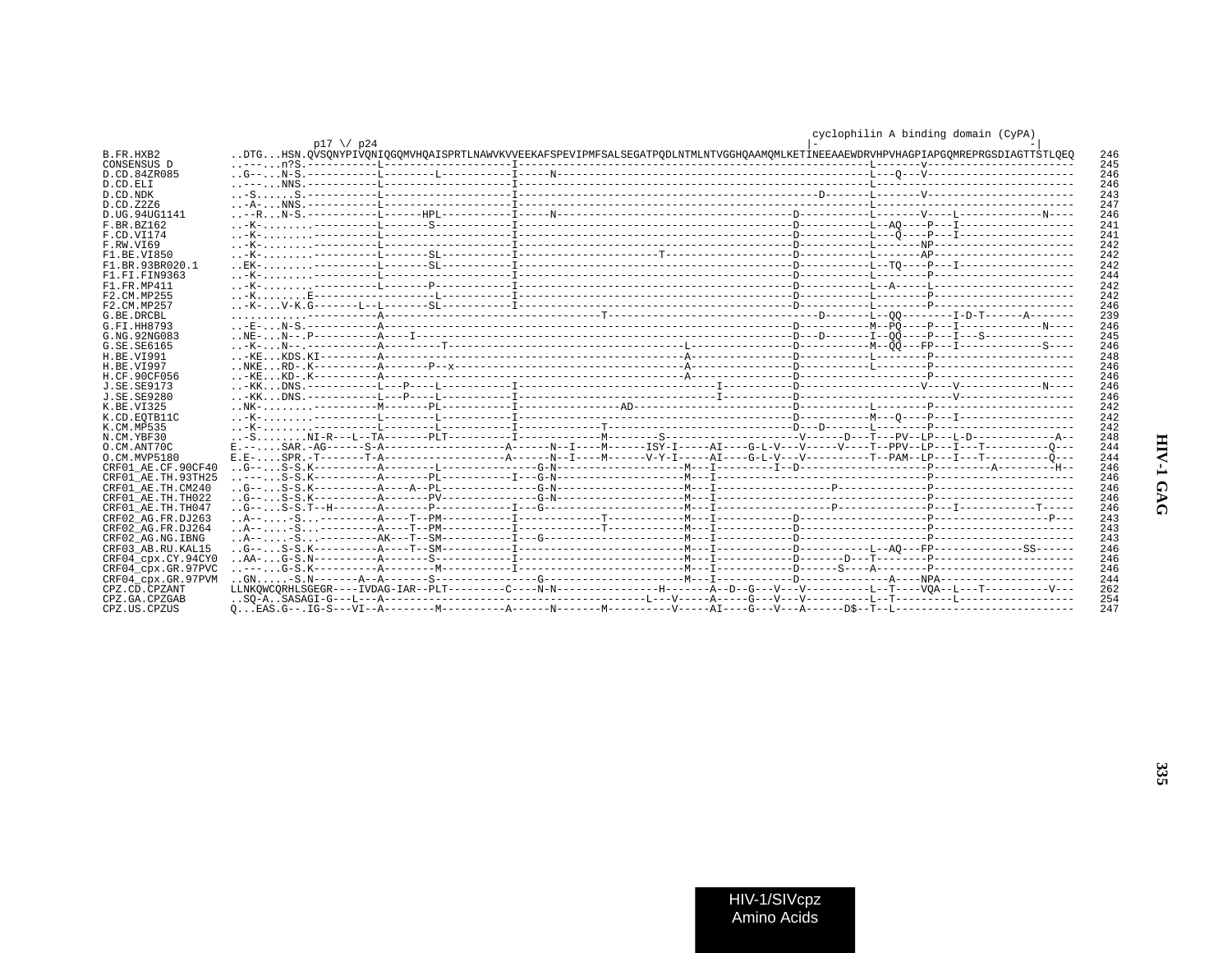|                    | $p17 \sqrt{p24}$ |  |                                                                                                                                 | $0 + 0$ $1 + 1 + 11$ $1 + 2 + 11$ |  |
|--------------------|------------------|--|---------------------------------------------------------------------------------------------------------------------------------|-----------------------------------|--|
| B.FR.HXB2          |                  |  | DTGHSN.QVSQNYPIVQNIQGQMVHQAISPRTLNAWVKVVEEKAFSPEVIPMFSALSEGATPQDLNTMLNTVGGHQAAMQMLKETİNEEAAEWDRVHPVHAGPIAPGQMREPRGSDIAGTTSTLQEQ |                                   |  |
| CONSENSUS D        |                  |  |                                                                                                                                 |                                   |  |
| D.CD.84ZR085       |                  |  |                                                                                                                                 |                                   |  |
| D.CD.ELI           |                  |  |                                                                                                                                 |                                   |  |
| D.CD.NDK           |                  |  |                                                                                                                                 |                                   |  |
| D.CD.Z2Z6          |                  |  |                                                                                                                                 |                                   |  |
| D.UG.94UG1141      |                  |  |                                                                                                                                 |                                   |  |
| F. BR. BZ162       |                  |  |                                                                                                                                 |                                   |  |
|                    |                  |  |                                                                                                                                 |                                   |  |
| F.CD.VI174         |                  |  |                                                                                                                                 |                                   |  |
| F.RW.VT69          |                  |  |                                                                                                                                 |                                   |  |
| F1 BE VT850        |                  |  |                                                                                                                                 |                                   |  |
| F1.BR.93BR020.1    |                  |  |                                                                                                                                 |                                   |  |
| F1 FT FIN9363      |                  |  |                                                                                                                                 |                                   |  |
| F1.FR.MP411        |                  |  |                                                                                                                                 |                                   |  |
| F2.CM.MP255        |                  |  |                                                                                                                                 |                                   |  |
| F2.CM.MP257        |                  |  |                                                                                                                                 |                                   |  |
| G. BE. DRCBL       |                  |  |                                                                                                                                 |                                   |  |
| G. FT. HH8793      |                  |  |                                                                                                                                 |                                   |  |
| G.NG.92NG083       |                  |  |                                                                                                                                 |                                   |  |
| G. SE. SE6165      |                  |  |                                                                                                                                 |                                   |  |
| H.BE.VI991         |                  |  |                                                                                                                                 |                                   |  |
|                    |                  |  |                                                                                                                                 |                                   |  |
| H.BE.VI997         |                  |  |                                                                                                                                 |                                   |  |
| H.CF.90CF056       |                  |  |                                                                                                                                 |                                   |  |
| J.SE.SE9173        |                  |  |                                                                                                                                 |                                   |  |
| J. SE. SE9280      |                  |  |                                                                                                                                 |                                   |  |
| K.BE.VI325         |                  |  |                                                                                                                                 |                                   |  |
| K.CD.EOTB11C       |                  |  |                                                                                                                                 |                                   |  |
| K.CM.MP535         |                  |  |                                                                                                                                 |                                   |  |
| N.CM.YBF30         |                  |  |                                                                                                                                 |                                   |  |
| O.CM.ANT70C        |                  |  |                                                                                                                                 |                                   |  |
| O.CM.MVP5180       |                  |  |                                                                                                                                 |                                   |  |
| CRF01 AE.CF.90CF40 |                  |  |                                                                                                                                 |                                   |  |
| CRF01 AE.TH.93TH25 |                  |  |                                                                                                                                 |                                   |  |
| CRF01 AE.TH.CM240  |                  |  |                                                                                                                                 |                                   |  |
| CRF01 AE.TH.TH022  |                  |  |                                                                                                                                 |                                   |  |
| CRF01 AE.TH.TH047  |                  |  |                                                                                                                                 |                                   |  |
| CRF02 AG.FR.DJ263  |                  |  |                                                                                                                                 |                                   |  |
|                    |                  |  |                                                                                                                                 |                                   |  |
| CRF02 AG.FR.DJ264  |                  |  |                                                                                                                                 |                                   |  |
| CRF02 AG.NG.IBNG   |                  |  |                                                                                                                                 |                                   |  |
| CRF03 AB.RU.KAL15  |                  |  |                                                                                                                                 |                                   |  |
| CRF04 cpx.CY.94CY0 |                  |  |                                                                                                                                 |                                   |  |
| CRF04 cpx.GR.97PVC |                  |  |                                                                                                                                 |                                   |  |
| CRF04 cpx.GR.97PVM |                  |  |                                                                                                                                 |                                   |  |
| CPZ.CD.CPZANT      |                  |  | LLNKOWCORHLSGEGR----IVDAG-IAR--PLT--------C----N-N--------------H-------A--D--G---V---V-------L--T----VOA--L---T---------V---   |                                   |  |
| CPZ.GA.CPZGAB      |                  |  |                                                                                                                                 |                                   |  |
| CPZ.US.CPZUS       |                  |  |                                                                                                                                 |                                   |  |
|                    |                  |  |                                                                                                                                 |                                   |  |

cyclophilin A binding domain  $(CyPA)$ 

335

HIV-1/SIVcpz Amino Acids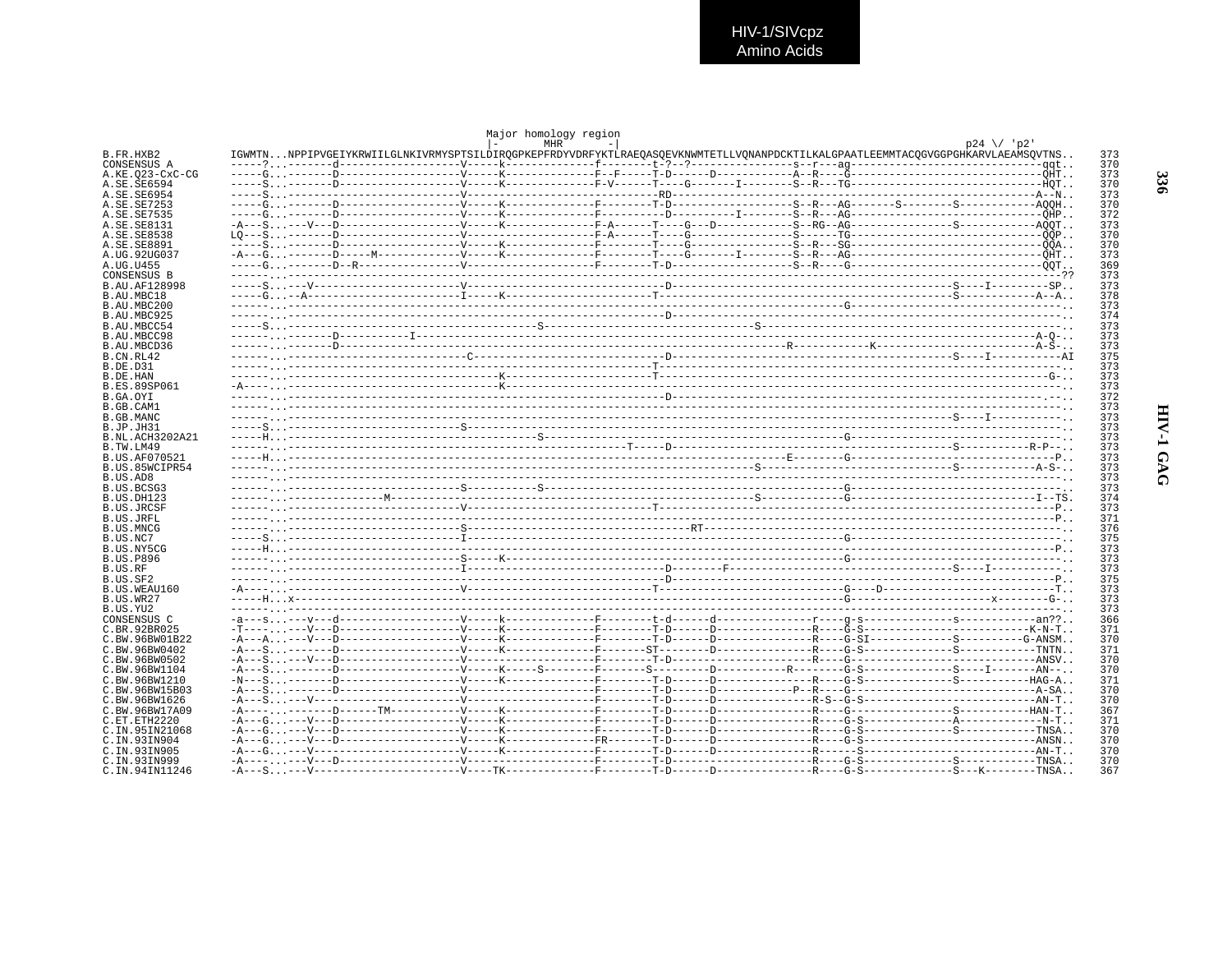HIV-1/SIVcpz<br>Amino Acids

|                                     |                                                                                                                                 | Major homology region<br>MHR |  |  | $p24 \ \lor \ p2'$ |            |
|-------------------------------------|---------------------------------------------------------------------------------------------------------------------------------|------------------------------|--|--|--------------------|------------|
| B.FR.HXB2                           | IGWMTNNPPIPVGEIYKRWIILGLNKIVRMYSPTSILDIRQGPKEPFRDYVDRFYKTLRAEQASQEVKNWMTETLLVQNANPDCKTILKALGPAATLEEMMTACQGVGGPGHKARVLAEAMSQVTNS |                              |  |  |                    | 373        |
| CONSENSUS A<br>A.KE.023-CxC-CG      |                                                                                                                                 |                              |  |  |                    | 370<br>373 |
| A.SE.SE6594                         |                                                                                                                                 |                              |  |  |                    | 370        |
| A.SE.SE6954                         |                                                                                                                                 |                              |  |  |                    | 373        |
| A.SE.SE7253<br>A.SE.SE7535          |                                                                                                                                 |                              |  |  |                    | 370<br>372 |
| A.SE.SE8131                         |                                                                                                                                 |                              |  |  |                    | 373        |
| A.SE.SE8538                         |                                                                                                                                 |                              |  |  |                    | 370        |
| A.SE.SE8891<br>A.UG.92UG037         |                                                                                                                                 |                              |  |  |                    | 370<br>373 |
| A.UG.U455                           |                                                                                                                                 |                              |  |  |                    | 369        |
| CONSENSUS B                         |                                                                                                                                 |                              |  |  |                    | 373        |
| B.AU.AF128998                       |                                                                                                                                 |                              |  |  |                    | 373        |
| B.AU.MBC18<br>B.AU.MBC200           |                                                                                                                                 |                              |  |  |                    | 378<br>373 |
| B.AU.MBC925                         |                                                                                                                                 |                              |  |  |                    | 374        |
| B.AU.MBCC54                         |                                                                                                                                 |                              |  |  |                    | 373        |
| B.AU.MBCC98                         |                                                                                                                                 |                              |  |  |                    | 373        |
| B.AU.MBCD36<br>B.CN.RL42            |                                                                                                                                 |                              |  |  |                    | 373<br>375 |
| B.DE.D31                            |                                                                                                                                 |                              |  |  |                    | 373        |
| B.DE.HAN                            |                                                                                                                                 |                              |  |  |                    | 373        |
| <b>B.ES.89SP061</b><br>B.GA.OYI     |                                                                                                                                 |                              |  |  |                    | 373<br>372 |
| B.GB.CAM1                           |                                                                                                                                 |                              |  |  |                    | 373        |
| B.GB.MANC                           |                                                                                                                                 |                              |  |  |                    | 373        |
| B.JP.JH31                           |                                                                                                                                 |                              |  |  |                    | 373        |
| <b>B.NL.ACH3202A21</b><br>B.TW.LM49 |                                                                                                                                 |                              |  |  |                    | 373<br>373 |
| B.US.AF070521                       |                                                                                                                                 |                              |  |  |                    | 373        |
| B.US.85WCIPR54                      |                                                                                                                                 |                              |  |  |                    | 373        |
| B.US.AD8                            |                                                                                                                                 |                              |  |  |                    | 373        |
| B.US.BCSG3<br>B.US.DH123            |                                                                                                                                 |                              |  |  |                    | 373<br>374 |
| <b>B.US.JRCSF</b>                   |                                                                                                                                 |                              |  |  |                    | 373        |
| B.US.JRFL                           |                                                                                                                                 |                              |  |  |                    | 371        |
| <b>B.US.MNCG</b><br>B.US.NC7        |                                                                                                                                 |                              |  |  |                    | 376<br>375 |
| B.US.NY5CG                          |                                                                                                                                 |                              |  |  |                    | 373        |
| <b>B.US.P896</b>                    |                                                                                                                                 |                              |  |  |                    | 373        |
| B.US.RF                             |                                                                                                                                 |                              |  |  |                    | 373        |
| B.US.SF2<br>B.US.WEAU160            |                                                                                                                                 |                              |  |  |                    | 375<br>373 |
| B.US.WR27                           |                                                                                                                                 |                              |  |  |                    | 373        |
| B.US.YU2                            |                                                                                                                                 |                              |  |  |                    | 373        |
| CONSENSUS C                         |                                                                                                                                 |                              |  |  |                    | 366        |
| C.BR.92BR025<br>C.BW.96BW01B22      | $-A--A---V---D-----------V---K-----X------F-----T-D-----D----------------G-SI---------S-----S------G-ANSM$                      |                              |  |  |                    | 371<br>370 |
| C. BW. 96BW0402                     |                                                                                                                                 |                              |  |  |                    | 371        |
| C.BW.96BW0502                       |                                                                                                                                 |                              |  |  |                    | 370        |
| C.BW.96BW1104<br>C.BW.96BW1210      |                                                                                                                                 |                              |  |  |                    | 370        |
| C.BW.96BW15B03                      |                                                                                                                                 |                              |  |  |                    | 371<br>370 |
| C.BW.96BW1626                       |                                                                                                                                 |                              |  |  |                    | 370        |
| C.BW.96BW17A09                      |                                                                                                                                 |                              |  |  |                    | 367        |
| C.ET.ETH2220<br>C.IN.95IN21068      |                                                                                                                                 |                              |  |  |                    | 371<br>370 |
| C.IN.93IN904                        |                                                                                                                                 |                              |  |  |                    | 370        |
| C. IN. 93IN905                      |                                                                                                                                 |                              |  |  |                    | 370        |
| C. IN. 93TN999                      |                                                                                                                                 |                              |  |  |                    | 370        |
| C.IN.94IN11246                      |                                                                                                                                 |                              |  |  |                    | 367        |

336

HIV-1 GAG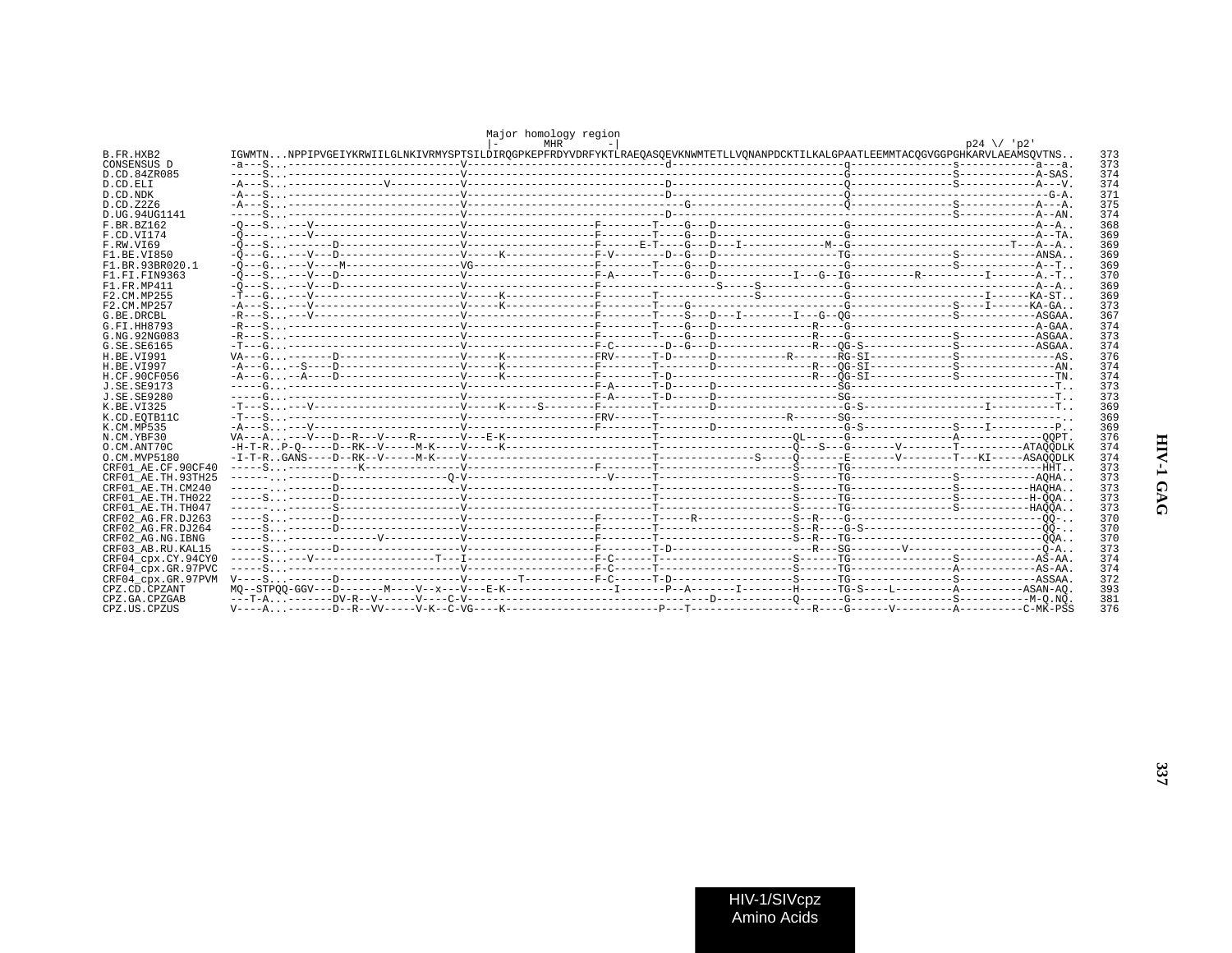|                    |                                                                                                                                 | Major homology region<br><b>MHR</b> |  |  | $p24 \sqrt{2}$ |            |
|--------------------|---------------------------------------------------------------------------------------------------------------------------------|-------------------------------------|--|--|----------------|------------|
| B.FR.HXB2          | IGWMTNNPPIPVGEIYKRWIILGLNKIVRMYSPTSILDIROGPKEPFRDYVDRFYKTLRAEOASOEVKNWMTETLLVONANPDCKTILKALGPAATLEEMMTACOGVGGPGHKARVLAEAMSOVTNS |                                     |  |  |                | 373        |
| CONSENSUS D        |                                                                                                                                 |                                     |  |  |                | 373        |
| D.CD.84ZR085       |                                                                                                                                 |                                     |  |  |                | 374        |
| D.CD.ELI           |                                                                                                                                 |                                     |  |  |                | 374        |
| D.CD.NDK           | $-A$ ---S.                                                                                                                      |                                     |  |  |                | 371        |
| D.CD.Z2Z6          | $-A$ ---S.                                                                                                                      |                                     |  |  |                | 375        |
| D.UG.94UG1141      |                                                                                                                                 |                                     |  |  |                | 374        |
| F.BR.BZ162         |                                                                                                                                 |                                     |  |  |                | 368        |
| F.CD.VI174         |                                                                                                                                 |                                     |  |  |                | 369        |
| F.RW.VT69          |                                                                                                                                 |                                     |  |  |                | 369        |
| F1.BE.VI850        |                                                                                                                                 |                                     |  |  |                | 369        |
| F1.BR.93BR020.1    |                                                                                                                                 |                                     |  |  |                | 369        |
| F1.FI.FIN9363      |                                                                                                                                 |                                     |  |  |                | 370        |
| F1.FR.MP411        |                                                                                                                                 |                                     |  |  |                | 369        |
| F2. CM. MP255      |                                                                                                                                 |                                     |  |  |                | 369        |
| F2.CM.MP257        |                                                                                                                                 |                                     |  |  |                | 373        |
| G.BE.DRCBL         |                                                                                                                                 |                                     |  |  |                | 367        |
| G.FI.HH8793        |                                                                                                                                 |                                     |  |  |                | 374        |
| G.NG.92NG083       |                                                                                                                                 |                                     |  |  |                | 373        |
| G. SE. SE6165      |                                                                                                                                 |                                     |  |  |                | 374        |
| H.BE.VI991         |                                                                                                                                 |                                     |  |  |                | 376        |
| H.BE.VI997         |                                                                                                                                 |                                     |  |  |                | 374        |
| H.CF.90CF056       |                                                                                                                                 |                                     |  |  |                | 374        |
| J.SE.SE9173        |                                                                                                                                 |                                     |  |  |                | 373        |
| J.SE.SE9280        |                                                                                                                                 |                                     |  |  |                | 373        |
| K. BE. VT325       |                                                                                                                                 |                                     |  |  |                | 369        |
|                    |                                                                                                                                 |                                     |  |  |                | 369        |
| K.CD.EOTB11C       |                                                                                                                                 |                                     |  |  |                | 369        |
| K.CM.MP535         |                                                                                                                                 |                                     |  |  |                |            |
| N.CM.YBF30         |                                                                                                                                 |                                     |  |  |                | 376        |
| O.CM.ANT70C        |                                                                                                                                 |                                     |  |  |                | 374<br>374 |
| O.CM.MVP5180       |                                                                                                                                 |                                     |  |  |                |            |
| CRF01 AE.CF.90CF40 |                                                                                                                                 |                                     |  |  |                | 373        |
| CRF01 AE.TH.93TH25 |                                                                                                                                 |                                     |  |  |                | 373        |
| CRF01 AE.TH.CM240  |                                                                                                                                 |                                     |  |  |                | 373        |
| CRF01 AE.TH.TH022  |                                                                                                                                 |                                     |  |  |                | 373        |
| CRF01 AE.TH.TH047  |                                                                                                                                 |                                     |  |  |                | 373        |
| CRF02 AG.FR.DJ263  |                                                                                                                                 |                                     |  |  |                | 370        |
| CRF02 AG.FR.DJ264  |                                                                                                                                 |                                     |  |  |                | 370        |
| CRF02 AG.NG.IBNG   |                                                                                                                                 |                                     |  |  |                | 370        |
| CRF03 AB.RU.KAL15  |                                                                                                                                 |                                     |  |  |                | 373        |
| CRF04 cpx.CY.94CY0 |                                                                                                                                 |                                     |  |  |                | 374        |
| CRF04_cpx.GR.97PVC |                                                                                                                                 |                                     |  |  |                | 374        |
| CRF04 cpx.GR.97PVM |                                                                                                                                 |                                     |  |  |                | 372        |
| CPZ.CD.CPZANT      |                                                                                                                                 |                                     |  |  |                | 393        |
| CPZ.GA.CPZGAB      |                                                                                                                                 |                                     |  |  |                | 381        |
| CPZ.US.CPZUS       |                                                                                                                                 |                                     |  |  |                | 376        |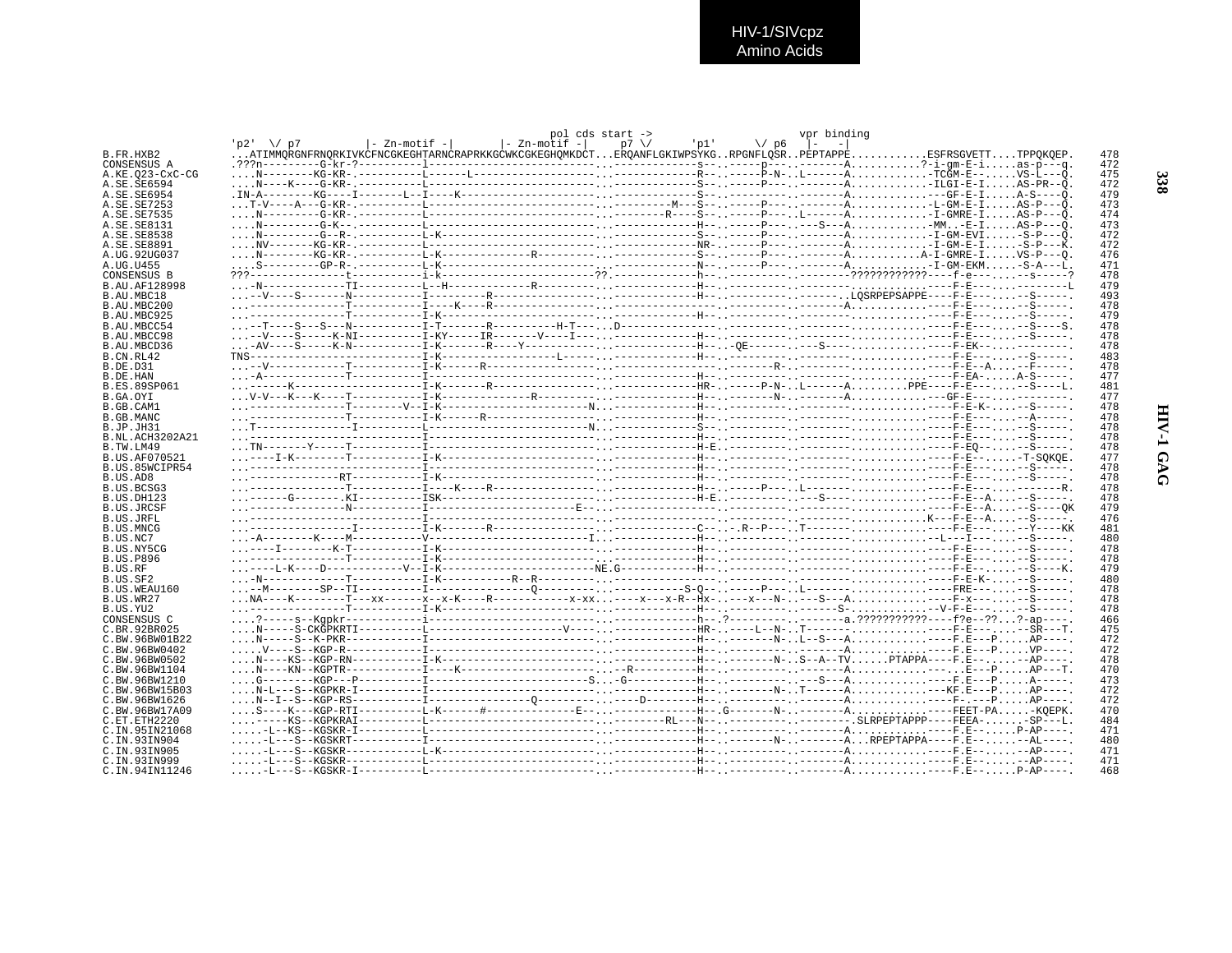## HIV-1/SIVcpz<br>Amino Acids

|                                 |           |                |                              | pol cds start -> |                    | vpr binding   |                                                                                                                                                                                                 |            |
|---------------------------------|-----------|----------------|------------------------------|------------------|--------------------|---------------|-------------------------------------------------------------------------------------------------------------------------------------------------------------------------------------------------|------------|
|                                 | 07 /\ 1p2 | l- Zn-motif -l | $\vert$ - Zn-motif - $\vert$ | $p7 \sqrt{ }$    | $\sqrt{p}$<br>'pl' | $\sim$ 1 $ -$ |                                                                                                                                                                                                 |            |
| B.FR.HXB2                       |           |                |                              |                  |                    |               | ATIMMORGNFRNORKIVKCFNCGKEGHTARNCRAPRKKGCWKCGKEGHOMKDCTEROANFLGKIWPSYKGRPGNFLOSRPEPTAPPEESFRSGVETTTPPOKOEP.                                                                                      | 478        |
| CONSENSUS A                     |           |                |                              |                  |                    |               |                                                                                                                                                                                                 | 472        |
| A.KE.023-CxC-CG                 |           |                |                              |                  |                    |               |                                                                                                                                                                                                 | 475        |
| A.SE.SE6594                     |           |                |                              |                  |                    |               |                                                                                                                                                                                                 | 472        |
| A.SE.SE6954                     |           |                |                              |                  |                    |               |                                                                                                                                                                                                 | 479        |
| A. SE. SE7253                   |           |                |                              |                  |                    |               |                                                                                                                                                                                                 | 473        |
| A.SE.SE7535                     |           |                |                              |                  |                    |               |                                                                                                                                                                                                 | 474        |
| A. SE. SE8131                   |           |                |                              |                  |                    |               |                                                                                                                                                                                                 | 473<br>472 |
| A. SE. SE8538                   |           |                |                              |                  |                    |               |                                                                                                                                                                                                 | 472        |
| A.SE.SE8891<br>A.UG.92UG037     |           |                |                              |                  |                    |               |                                                                                                                                                                                                 | 476        |
| A.UG.U455                       |           |                |                              |                  |                    |               |                                                                                                                                                                                                 | 471        |
| CONSENSUS B                     |           |                |                              |                  |                    |               |                                                                                                                                                                                                 | 478        |
| B.AU.AF128998                   |           |                |                              |                  |                    |               |                                                                                                                                                                                                 | 479        |
| B.AU.MBC18                      |           |                |                              |                  |                    |               |                                                                                                                                                                                                 | 493        |
| B.AU.MBC200                     |           |                |                              |                  |                    |               |                                                                                                                                                                                                 | 478        |
| B.AU.MBC925                     |           |                |                              |                  |                    |               |                                                                                                                                                                                                 | 479        |
| B.AU.MBCC54                     |           |                |                              |                  |                    |               |                                                                                                                                                                                                 | 478        |
| B.AU.MBCC98                     |           |                |                              |                  |                    |               |                                                                                                                                                                                                 | 478        |
| B.AU.MBCD36                     |           |                |                              |                  |                    |               |                                                                                                                                                                                                 | 478        |
| B.CN.RL42                       |           |                |                              |                  |                    |               |                                                                                                                                                                                                 | 483        |
| B.DE.D31                        |           |                |                              |                  |                    |               |                                                                                                                                                                                                 | 478        |
| B.DE.HAN                        |           |                |                              |                  |                    |               |                                                                                                                                                                                                 | 477        |
| <b>B.ES.89SP061</b>             |           |                |                              |                  |                    |               |                                                                                                                                                                                                 | 481        |
| B.GA.OYI                        |           |                |                              |                  |                    |               |                                                                                                                                                                                                 | 477        |
| B.GB.CAM1                       |           |                |                              |                  |                    |               |                                                                                                                                                                                                 | 478        |
| B.GB.MANC                       |           |                |                              |                  |                    |               |                                                                                                                                                                                                 | 478        |
| B.JP.JH31                       |           |                |                              |                  |                    |               |                                                                                                                                                                                                 | 478        |
| B.NL.ACH3202A21                 |           |                |                              |                  |                    |               |                                                                                                                                                                                                 | 478        |
| B.TW.LM49                       |           |                |                              |                  |                    |               |                                                                                                                                                                                                 | 478        |
| <b>B.US.AF070521</b>            |           |                |                              |                  |                    |               |                                                                                                                                                                                                 | 477        |
| B.US.85WCIPR54                  |           |                |                              |                  |                    |               |                                                                                                                                                                                                 | 478        |
| B.US.AD8<br>B.US.BCSG3          |           |                |                              |                  |                    |               |                                                                                                                                                                                                 | 478<br>478 |
| <b>B.US.DH123</b>               |           |                |                              |                  |                    |               |                                                                                                                                                                                                 | 478        |
| <b>B.US.JRCSF</b>               |           |                |                              |                  |                    |               |                                                                                                                                                                                                 | 479        |
| B.US.JRFL                       |           |                |                              |                  |                    |               | <u> 1999 - 1999 - 1999 - 1999 - 1999 - 1999 - 1999 - 1999 - 1999 - 1999 - 1999 - 1999 - 1999 - 1999 - 1999 - 1999 - 1999 - 1999 - 1999 - 1999 - 1999 - 1999 - 1999 - 1999 - 1999 - 1999 - 1</u> | 476        |
| B.US.MNCG                       |           |                |                              |                  |                    |               |                                                                                                                                                                                                 | 481        |
| B.US.NC7                        |           |                |                              |                  |                    |               |                                                                                                                                                                                                 | 480        |
| B.US.NY5CG                      |           |                |                              |                  |                    |               |                                                                                                                                                                                                 | 478        |
| <b>B.US.P896</b>                |           |                |                              |                  |                    |               |                                                                                                                                                                                                 | 478        |
| B.US.RF                         |           |                |                              |                  |                    |               |                                                                                                                                                                                                 | 479        |
| B.US.SF2                        |           |                |                              |                  |                    |               |                                                                                                                                                                                                 | 480        |
| B.US.WEAU160                    |           |                |                              |                  |                    |               |                                                                                                                                                                                                 | 478        |
| B.US.WR27                       |           |                |                              |                  |                    |               |                                                                                                                                                                                                 | 478        |
| B.US.YU2                        |           |                |                              |                  |                    |               |                                                                                                                                                                                                 | 478        |
| CONSENSUS C                     |           |                |                              |                  |                    |               |                                                                                                                                                                                                 | 466        |
| C.BR.92BR025                    |           |                |                              |                  |                    |               |                                                                                                                                                                                                 | 475        |
| C.BW.96BW01B22                  |           |                |                              |                  |                    |               |                                                                                                                                                                                                 | 472        |
| C.BW.96BW0402                   |           |                |                              |                  |                    |               |                                                                                                                                                                                                 | 472        |
| C.BW.96BW0502                   |           |                |                              |                  |                    |               |                                                                                                                                                                                                 | 478        |
| C.BW.96BW1104                   |           |                |                              |                  |                    |               |                                                                                                                                                                                                 | 470        |
| C.BW.96BW1210                   |           |                |                              |                  |                    |               |                                                                                                                                                                                                 | 473        |
| C.BW.96BW15B03<br>C.BW.96BW1626 |           |                |                              |                  |                    |               |                                                                                                                                                                                                 | 472<br>472 |
| C.BW.96BW17A09                  |           |                |                              |                  |                    |               |                                                                                                                                                                                                 | 470        |
| C.ET.ETH2220                    |           |                |                              |                  |                    |               |                                                                                                                                                                                                 | 484        |
| C. TN. 95TN21068                |           |                |                              |                  |                    |               |                                                                                                                                                                                                 | 471        |
| C.IN.93IN904                    |           |                |                              |                  |                    |               |                                                                                                                                                                                                 | 480        |
| C. IN. 93 IN 905                |           |                |                              |                  |                    |               |                                                                                                                                                                                                 | 471        |
| C. TN. 93TN999                  |           |                |                              |                  |                    |               |                                                                                                                                                                                                 | 471        |
| C.IN.94IN11246                  |           |                |                              |                  |                    |               |                                                                                                                                                                                                 | 468        |
|                                 |           |                |                              |                  |                    |               |                                                                                                                                                                                                 |            |

338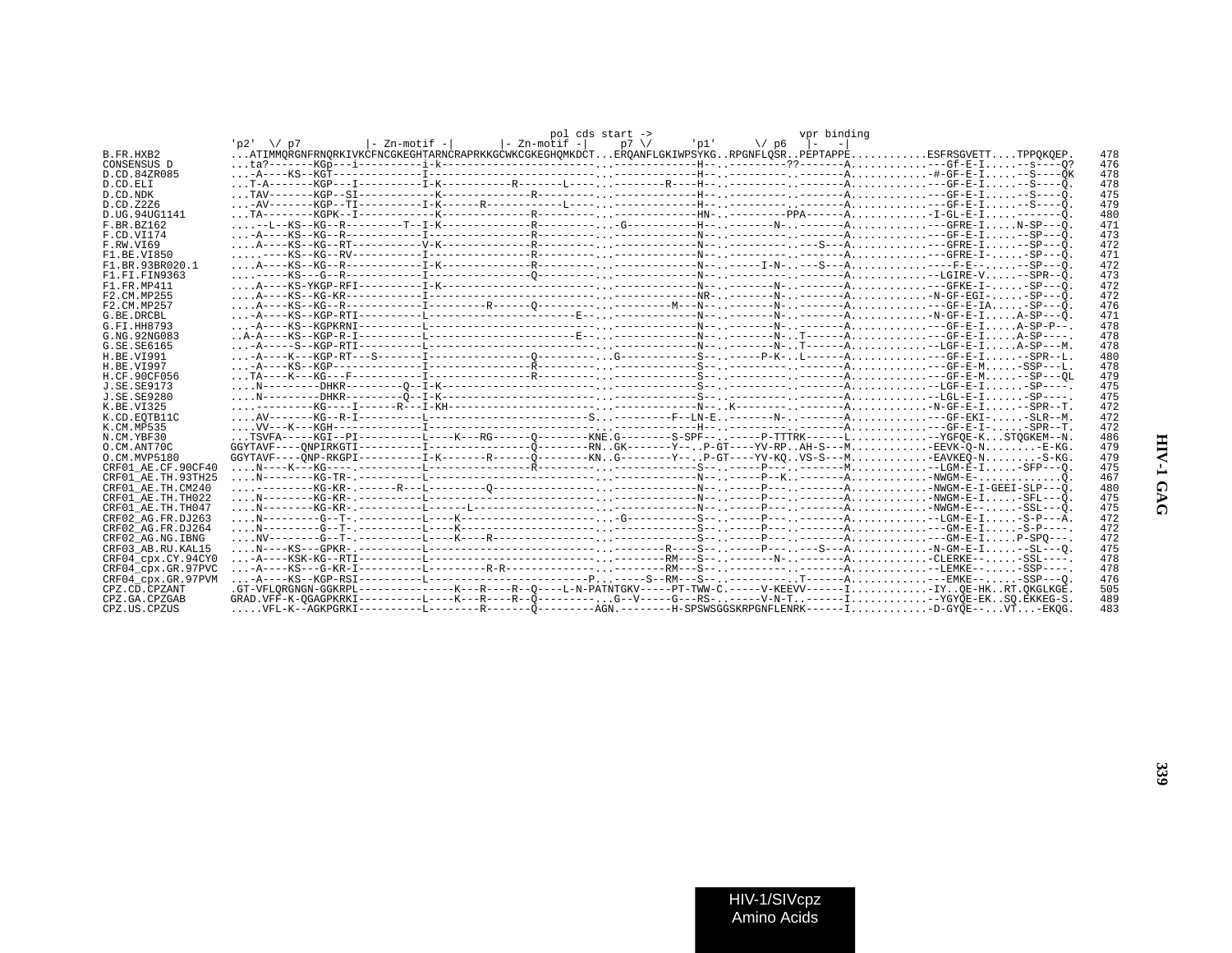|                    |           |                    |              | pol cds start -> |                | vpr binding |                                                                                                                        |     |
|--------------------|-----------|--------------------|--------------|------------------|----------------|-------------|------------------------------------------------------------------------------------------------------------------------|-----|
|                    | 7מ/\\ 2ט' | $ -$ Zn-motif $- $ | - Zn-motif - | $p7 \sqrt{ }$    | 'p1' \/p6  - - |             |                                                                                                                        |     |
| B.FR.HXB2          |           |                    |              |                  |                |             | ATIMMORGNFRNORKIVKCFNCGKEGHTARNCRAPRKKGCWKCGKEGHOMKDCTEROANFLGKIWPSYKGRPGNFLOSRPEPTAPPEESFRSGVETTTPPOKOEP.             | 478 |
| CONSENSUS D        |           |                    |              |                  |                |             |                                                                                                                        | 476 |
| D.CD.84ZR085       |           |                    |              |                  |                |             |                                                                                                                        | 478 |
| D.CD.ELI           |           |                    |              |                  |                |             |                                                                                                                        | 478 |
| D.CD.NDK           |           |                    |              |                  |                |             |                                                                                                                        | 475 |
| D.CD.Z2Z6          |           |                    |              |                  |                |             |                                                                                                                        | 479 |
| D.UG.94UG1141      |           |                    |              |                  |                |             |                                                                                                                        | 480 |
| F.BR.BZ162         |           |                    |              |                  |                |             |                                                                                                                        | 471 |
| F.CD.VI174         |           |                    |              |                  |                |             |                                                                                                                        | 473 |
|                    |           |                    |              |                  |                |             |                                                                                                                        | 472 |
| F.RW.VI69          |           |                    |              |                  |                |             |                                                                                                                        |     |
| F1.BE.VI850        |           |                    |              |                  |                |             |                                                                                                                        | 471 |
| F1.BR.93BR020.1    |           |                    |              |                  |                |             |                                                                                                                        | 472 |
| F1.FI.FIN9363      |           |                    |              |                  |                |             |                                                                                                                        | 473 |
| F1 FR MP411        |           |                    |              |                  |                |             |                                                                                                                        | 472 |
| F2.CM.MP255        |           |                    |              |                  |                |             |                                                                                                                        | 472 |
| F2.CM.MP257        |           |                    |              |                  |                |             |                                                                                                                        | 476 |
| G. BE. DRCBL       |           |                    |              |                  |                |             |                                                                                                                        | 471 |
| G.FI.HH8793        |           |                    |              |                  |                |             |                                                                                                                        | 478 |
| G.NG.92NG083       |           |                    |              |                  |                |             |                                                                                                                        | 478 |
| G.SE.SE6165        |           |                    |              |                  |                |             |                                                                                                                        | 478 |
| H.BE.VI991         |           |                    |              |                  |                |             |                                                                                                                        | 480 |
| H.BE.VI997         |           |                    |              |                  |                |             |                                                                                                                        | 478 |
| H.CF.90CF056       |           |                    |              |                  |                |             |                                                                                                                        | 479 |
| J. SE. SE9173      |           |                    |              |                  |                |             |                                                                                                                        | 475 |
| J.SE.SE9280        |           |                    |              |                  |                |             |                                                                                                                        | 475 |
| K.BE.VI325         |           |                    |              |                  |                |             |                                                                                                                        | 472 |
| K.CD.EOTB11C       |           |                    |              |                  |                |             |                                                                                                                        | 472 |
| K.CM.MP535         |           |                    |              |                  |                |             |                                                                                                                        | 472 |
| N.CM.YBF30         |           |                    |              |                  |                |             | TSVFA-----KGI--PI----------L----K---RG------O--------KNE.G-------S-SPF------P-TTTRK------L-YGFOE-KSTOGKEM--N.          | 486 |
| O.CM.ANT70C        |           |                    |              |                  |                |             |                                                                                                                        | 479 |
| O.CM.MVP5180       |           |                    |              |                  |                |             | GGYTAVF----ÕNP-RKGPI-----------I-K-------R------Õ--------KNG--------Y--P-GT----YV-KOVS-S---M-EAVKEÕ-N-S-KG.            | 479 |
|                    |           |                    |              |                  |                |             |                                                                                                                        | 475 |
| CRF01 AE.CF.90CF40 |           |                    |              |                  |                |             |                                                                                                                        |     |
| CRF01 AE.TH.93TH25 |           |                    |              |                  |                |             |                                                                                                                        | 467 |
| CRF01 AE.TH.CM240  |           |                    |              |                  |                |             |                                                                                                                        | 480 |
| CRF01 AE.TH.TH022  |           |                    |              |                  |                |             |                                                                                                                        | 475 |
| CRF01 AE.TH.TH047  |           |                    |              |                  |                |             |                                                                                                                        | 475 |
| CRF02 AG.FR.DJ263  |           |                    |              |                  |                |             |                                                                                                                        | 472 |
| CRF02 AG.FR.DJ264  |           |                    |              |                  |                |             |                                                                                                                        | 472 |
| CRF02 AG.NG.IBNG   |           |                    |              |                  |                |             |                                                                                                                        | 472 |
| CRF03 AB.RU.KAL15  |           |                    |              |                  |                |             | $N^{---}KS^{---}GPKR----------------------------------------R^{---S---P---P------S---A--S-GM-E-I--SL^{---}0.$          | 475 |
| CRF04 cpx.CY.94CY0 |           |                    |              |                  |                |             |                                                                                                                        | 478 |
| CRF04 cpx.GR.97PVC |           |                    |              |                  |                |             |                                                                                                                        | 478 |
| CRF04 cpx.GR.97PVM |           |                    |              |                  |                |             |                                                                                                                        | 476 |
| CPZ.CD.CPZANT      |           |                    |              |                  |                |             |                                                                                                                        | 505 |
| CPZ.GA.CPZGAB      |           |                    |              |                  |                |             | GRAD.VFF-K-OGAGPKRKI----------L----K---R---R--Ö---------G--V-----G---RS------V-N-T------I-YGYÖE-EKSO.ËKKEG-S.          | 489 |
| CPZ.US.CPZUS       |           |                    |              |                  |                |             | $\ldots$ . VFL-K--AGKPGRKI-----------L---------R------------AGN.---------H-SPSWSGGSKRPGNFLENRK------I-D-GYOE--VT-EKOG. | 483 |
|                    |           |                    |              |                  |                |             |                                                                                                                        |     |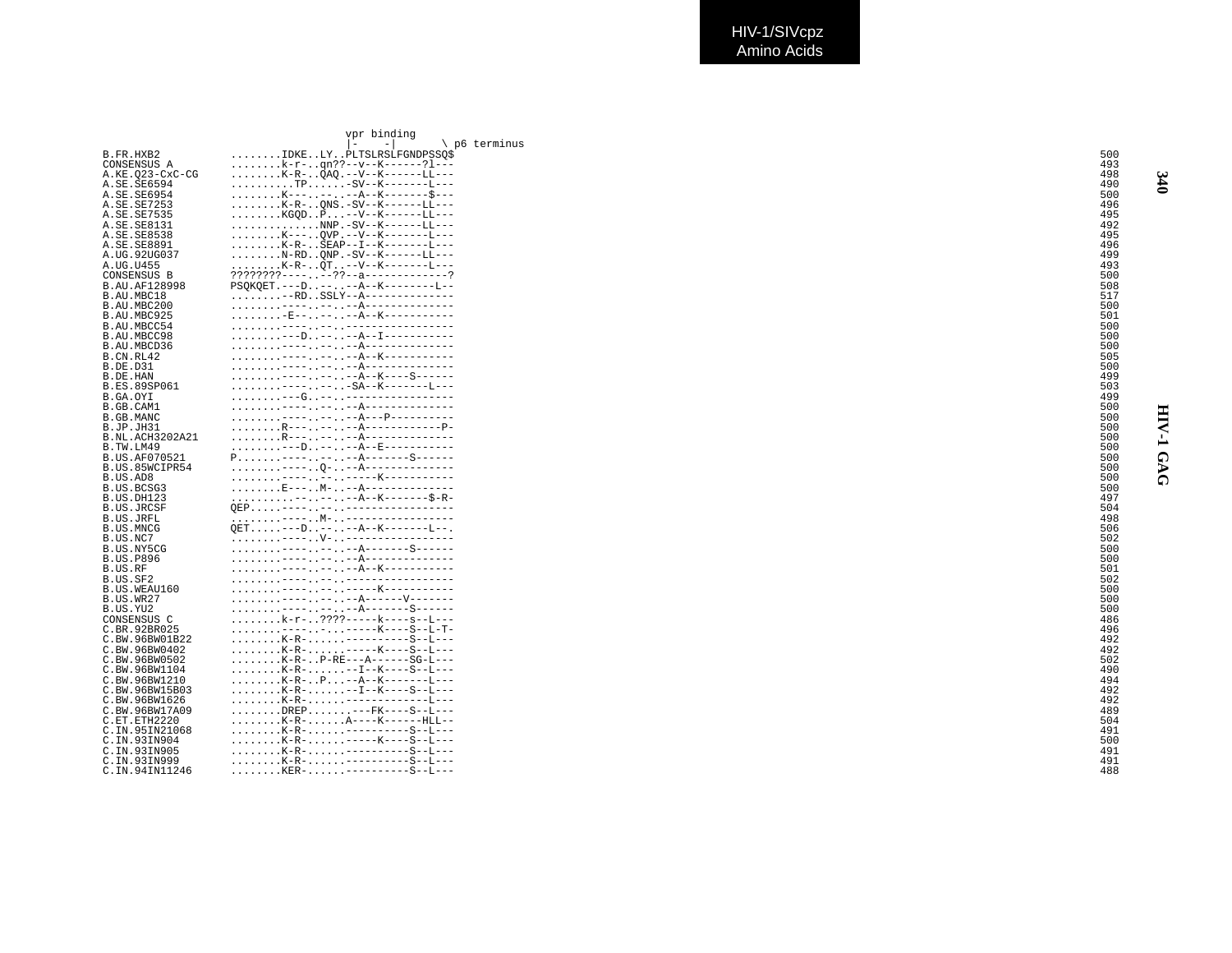|                          | vpr binding                                                                             |                 |
|--------------------------|-----------------------------------------------------------------------------------------|-----------------|
|                          | p6 terminus                                                                             |                 |
| B.FR.HXB2                | IDKELYPLTSLRSLFGNDPSSO\$                                                                | 500             |
| CONSENSUS A              | k-r-qn??--v--K------?1---                                                               | 493             |
| A.KE.023-CxC-CG          | $\ldots \ldots \ldots$ K-R- $\ldots$ QAQ.--V--K------LL---                              | 498             |
| A.SE.SE6594              | $\ldots \ldots \ldots \text{TP} \ldots \ldots -\text{SV--K------}$                      | 490             |
| A. SE. SE6954            |                                                                                         | 500             |
| A.SE.SE7253              | $K-R-.$ ONS $-SV-X---LL---$                                                             | 496             |
| A.SE.SE7535              | $\ldots \ldots \ldots$ KGQD. . P. --V--K------LL---                                     | 495             |
| A.SE.SE8131              | NNP.-SV--K------LL---                                                                   | 492<br>495      |
| A.SE.SE8538              | K---OVP.--V--K-------L---<br>$\ldots \ldots \ldots$ K-R- $\ldots$ SEAP--I--K-------L--- | 496             |
| A.SE.SE8891              | $N$ -RD. . ONP. -SV--K------LL---                                                       | 49 <sup>g</sup> |
| A.UG.92UG037             | . K-R- QT. . --V--K--------L---                                                         | 493             |
| A.UG.U455<br>CONSENSUS B | ????????------??--a-------------?                                                       | 500             |
| B.AU.AF128998            | PSQKQET. ---D. .-- -- A--K--------L--                                                   | 508             |
| B.AU.MBC18               | $\ldots \ldots \ldots -RD \ldots \text{SSLY--A---------}$                               | 517             |
| B.AU.MBC200              |                                                                                         | 500             |
| B.AU.MBC925              |                                                                                         | 501             |
| B.AU.MBCC54              |                                                                                         | 500             |
| B.AU.MBCC98              | ---D----A--I-----------                                                                 | 500             |
| B.AU.MBCD36              |                                                                                         | 500             |
| B.CN.RL42                |                                                                                         | 505             |
| B.DE.D31                 |                                                                                         | 500             |
| B.DE.HAN                 | . ---- -- --A--K----S------                                                             | 49S             |
| B.ES.89SP061             | . ---- -- -SA--K--------L---                                                            | 503             |
| B.GA.OYI                 |                                                                                         | 49S             |
| B.GB.CAM1                |                                                                                         | 500             |
| B.GB.MANC                |                                                                                         | 500             |
| B.JP.JH31                |                                                                                         | 50C             |
| B.NL.ACH3202A21          |                                                                                         | 500             |
| B.TW.LM49                | --D----A--E-----------                                                                  | 500             |
| B.US.AF070521            | $P_1, \ldots, \ldots$ ----, , --, , --A-------S------                                   | 500             |
| B.US.85WCIPR54           |                                                                                         | 500             |
| B.US.AD8                 |                                                                                         | 500             |
| B.US.BCSG3               | . E--- M- --A--------------                                                             | 500             |
| B.US.DH123               | ------A--K-------\$-R-                                                                  | 497             |
| <b>B.US.JRCSF</b>        | OEP----------------------                                                               | 504             |
| B.US.JRFL                | OET---D----A--K-------L--.                                                              | 498             |
| B.US.MNCG                |                                                                                         | 506<br>502      |
| B.US.NC7<br>B.US.NY5CG   | . ---- -- -- A------- - S------                                                         | 500             |
| <b>B.US.P896</b>         |                                                                                         | 500             |
| B.US.RF                  |                                                                                         | 501             |
| B.US.SF2                 |                                                                                         | 502             |
| B.US.WEAU160             |                                                                                         | 500             |
| B.US.WR27                | . ---- -- -- A-------V-------                                                           | 500             |
| B.US.YU2                 | . ---- -- -- A-------S------                                                            | 500             |
| CONSENSUS C              |                                                                                         | 486             |
| C.BR.92BR025             | . ---- - ------ K----S--L-T-                                                            | 496             |
| C.BW.96BW01B22           | K-R-----------S--L---                                                                   | 492             |
| C.BW.96BW0402            | K-R------K----S--L---                                                                   | 492             |
| C.BW.96BW0502            | $K-R-.$ . P-RE---A------SG-L---                                                         | 502             |
| C.BW.96BW1104            | . K-R- --I--K----S--L---                                                                | 490             |
| C.BW.96BW1210            | K-R-P--A--K-------L---                                                                  | 494             |
| C.BW.96BW15B03           | . K-R- -- I--K----S--L---                                                               | 492             |
| C.BW.96BW1626            |                                                                                         | 492             |
| C.BW.96BW17A09           |                                                                                         | 48 <sup>9</sup> |
| C.ET.ETH2220             | K-R-A----K-----HLL--                                                                    | 504             |
| C.IN.95IN21068           | K-R----------S--L---                                                                    | 491             |
| C.IN.93IN904             | K-R------K----S--L---                                                                   | 500             |
| C.IN.93IN905             | $\ldots \ldots \ldots$ K-R- $\ldots \ldots$ -----------S--L---                          | 491             |
| C. IN. 93IN999           |                                                                                         | 491             |
| C.IN.94IN11246           | KER----------S--J---                                                                    | 488             |

340

**HIV-1 GAG 340 HIV-1 GAG**